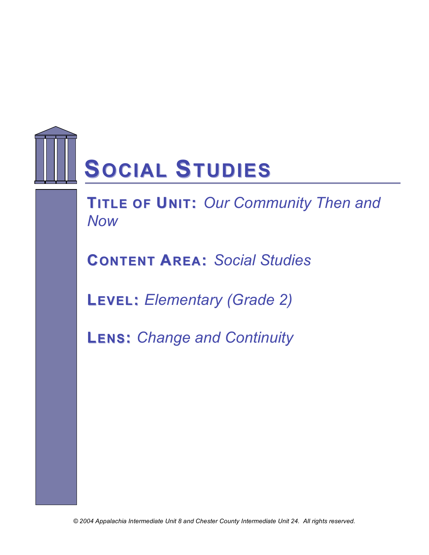

**TITLE OF UNIT:** Our Community Then and *Now*

**CONTENT AREA:** *Social Studies*

**LEVEL:** *Elementary (Grade 2)*

**LENS:** *Change and Continuity*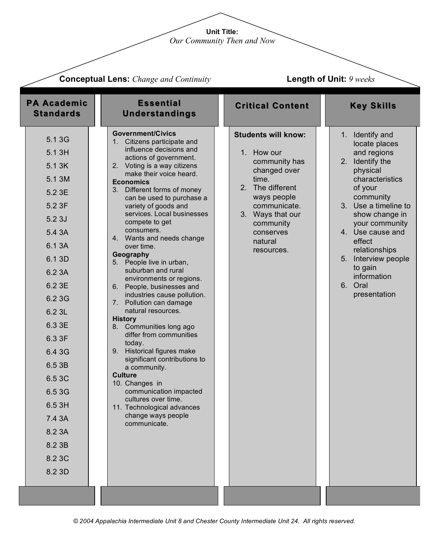**Unit Title:** *Our Community Then and Now*

| <b>Conceptual Lens:</b> Change and Continuity                                                                                                                                                                                                                   |                                                                                                                                                                                                                                                                                                                                                                                                                                                                                                                                                                                                                                                                                                                                                                                                                                                                                                                          |                                                                                                                                                                                                              | Length of Unit: 9 weeks                                                                                                                                                                                                                                                                                                |
|-----------------------------------------------------------------------------------------------------------------------------------------------------------------------------------------------------------------------------------------------------------------|--------------------------------------------------------------------------------------------------------------------------------------------------------------------------------------------------------------------------------------------------------------------------------------------------------------------------------------------------------------------------------------------------------------------------------------------------------------------------------------------------------------------------------------------------------------------------------------------------------------------------------------------------------------------------------------------------------------------------------------------------------------------------------------------------------------------------------------------------------------------------------------------------------------------------|--------------------------------------------------------------------------------------------------------------------------------------------------------------------------------------------------------------|------------------------------------------------------------------------------------------------------------------------------------------------------------------------------------------------------------------------------------------------------------------------------------------------------------------------|
| <b>PA Academic</b><br><b>Standards</b>                                                                                                                                                                                                                          | <b>Essential</b><br><b>Understandings</b>                                                                                                                                                                                                                                                                                                                                                                                                                                                                                                                                                                                                                                                                                                                                                                                                                                                                                | <b>Critical Content</b>                                                                                                                                                                                      | <b>Key Skills</b>                                                                                                                                                                                                                                                                                                      |
| 5.1 3G<br>5.1 3H<br>5.1 3K<br>5.1 3M<br>5.2 3E<br>5.2 3F<br>5.23J<br>5.4 3A<br>6.1 3A<br>6.1 3D<br>6.2 3A<br>6.2 3E<br>6.2 3G<br>6.2 3L<br>6.3 3E<br>6.3 3F<br>6.4 3G<br>6.5 3B<br>6.5 3C<br>6.5 3G<br>6.5 3H<br>7.4 3A<br>8.2 3A<br>8.2 3B<br>8.2 3C<br>8.2 3D | <b>Government/Civics</b><br>1. Citizens participate and<br>influence decisions and<br>actions of government.<br>2. Voting is a way citizens<br>make their voice heard.<br><b>Economics</b><br>3. Different forms of money<br>can be used to purchase a<br>variety of goods and<br>services. Local businesses<br>compete to get<br>consumers.<br>4. Wants and needs change<br>over time.<br>Geography<br>5. People live in urban,<br>suburban and rural<br>environments or regions.<br>6. People, businesses and<br>industries cause pollution.<br>7. Pollution can damage<br>natural resources.<br><b>History</b><br>8. Communities long ago<br>differ from communities<br>today.<br>9. Historical figures make<br>significant contributions to<br>a community.<br><b>Culture</b><br>10. Changes in<br>communication impacted<br>cultures over time.<br>11. Technological advances<br>change ways people<br>communicate. | <b>Students will know:</b><br>1. How our<br>community has<br>changed over<br>time.<br>2. The different<br>ways people<br>communicate.<br>3. Ways that our<br>community<br>conserves<br>natural<br>resources. | Identify and<br>1.<br>locate places<br>and regions<br>Identify the<br>2.<br>physical<br>characteristics<br>of your<br>community<br>3. Use a timeline to<br>show change in<br>your community<br>4. Use cause and<br>effect<br>relationships<br>5. Interview people<br>to gain<br>information<br>6. Oral<br>presentation |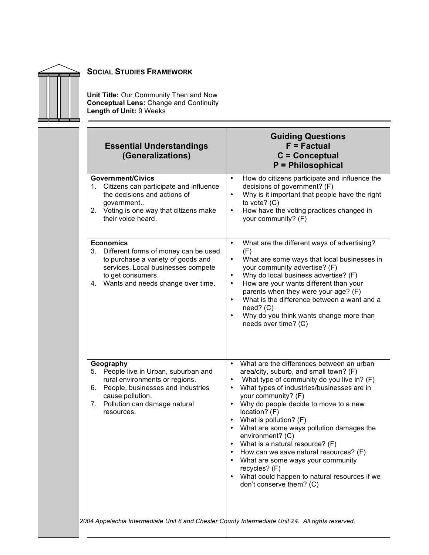

**Unit Title:** Our Community Then and Now **Conceptual Lens:** Change and Continuity **Length of Unit:** 9 Weeks

| <b>Essential Understandings</b><br>(Generalizations)                                                                                                                                                       | <b>Guiding Questions</b><br>$F = Factorual$<br>$C =$ Conceptual<br>$P =$ Philosophical                                                                                                                                                                                                                                                                                                                                                                                                                                                                                                                                                     |
|------------------------------------------------------------------------------------------------------------------------------------------------------------------------------------------------------------|--------------------------------------------------------------------------------------------------------------------------------------------------------------------------------------------------------------------------------------------------------------------------------------------------------------------------------------------------------------------------------------------------------------------------------------------------------------------------------------------------------------------------------------------------------------------------------------------------------------------------------------------|
| <b>Government/Civics</b><br>Citizens can participate and influence<br>1.<br>the decisions and actions of<br>government<br>2. Voting is one way that citizens make<br>their voice heard.                    | How do citizens participate and influence the<br>$\bullet$<br>decisions of government? (F)<br>Why is it important that people have the right<br>$\bullet$<br>to vote? $(C)$<br>How have the voting practices changed in<br>$\bullet$<br>your community? (F)                                                                                                                                                                                                                                                                                                                                                                                |
| <b>Economics</b><br>Different forms of money can be used<br>3.<br>to purchase a variety of goods and<br>services. Local businesses compete<br>to get consumers.<br>4. Wants and needs change over time.    | What are the different ways of advertising?<br>$\bullet$<br>(F)<br>What are some ways that local businesses in<br>٠<br>your community advertise? (F)<br>Why do local business advertise? (F)<br>$\bullet$<br>How are your wants different than your<br>$\bullet$<br>parents when they were your age? (F)<br>What is the difference between a want and a<br>$\bullet$<br>$need?$ (C)<br>Why do you think wants change more than<br>$\bullet$<br>needs over time? (C)                                                                                                                                                                        |
| Geography<br>People live in Urban, suburban and<br>5.<br>rural environments or regions.<br>People, businesses and industries<br>6.<br>cause pollution.<br>Pollution can damage natural<br>7.<br>resources. | What are the differences between an urban<br>$\bullet$<br>area/city, suburb, and small town? (F)<br>What type of community do you live in? (F)<br>$\bullet$<br>What types of industries/businesses are in<br>$\bullet$<br>your community? (F)<br>Why do people decide to move to a new<br>$\bullet$<br>location? (F)<br>What is pollution? (F)<br>What are some ways pollution damages the<br>environment? (C)<br>What is a natural resource? (F)<br>How can we save natural resources? (F)<br>What are some ways your community<br>recycles? (F)<br>What could happen to natural resources if we<br>$\bullet$<br>don't conserve them? (C) |
| 2004 Appalachia Intermediate Unit 8 and Chester County Intermediate Unit 24. All rights reserved.                                                                                                          |                                                                                                                                                                                                                                                                                                                                                                                                                                                                                                                                                                                                                                            |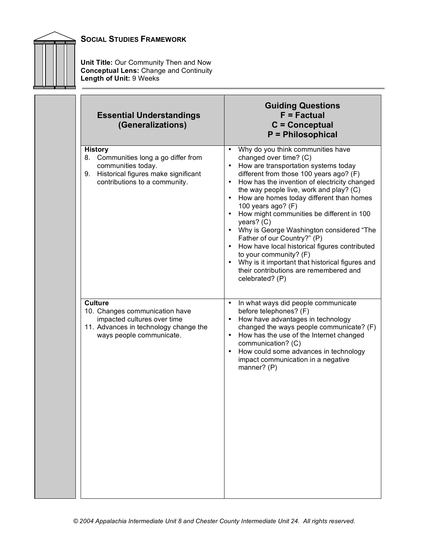

**Unit Title:** Our Community Then and Now **Conceptual Lens:** Change and Continuity **Length of Unit:** 9 Weeks

| <b>Essential Understandings</b><br>(Generalizations)                                                                                                    | <b>Guiding Questions</b><br>$F = Factorual$<br>$C =$ Conceptual<br>P = Philosophical                                                                                                                                                                                                                                                                                                                                                                                                                                                                                                                                                                                           |
|---------------------------------------------------------------------------------------------------------------------------------------------------------|--------------------------------------------------------------------------------------------------------------------------------------------------------------------------------------------------------------------------------------------------------------------------------------------------------------------------------------------------------------------------------------------------------------------------------------------------------------------------------------------------------------------------------------------------------------------------------------------------------------------------------------------------------------------------------|
| <b>History</b><br>8. Communities long a go differ from<br>communities today.<br>9. Historical figures make significant<br>contributions to a community. | Why do you think communities have<br>changed over time? (C)<br>How are transportation systems today<br>different from those 100 years ago? (F)<br>How has the invention of electricity changed<br>$\bullet$<br>the way people live, work and play? (C)<br>• How are homes today different than homes<br>100 years ago? (F)<br>How might communities be different in 100<br>$\bullet$<br>years? (C)<br>• Why is George Washington considered "The<br>Father of our Country?" (P)<br>• How have local historical figures contributed<br>to your community? (F)<br>• Why is it important that historical figures and<br>their contributions are remembered and<br>celebrated? (P) |
| <b>Culture</b><br>10. Changes communication have<br>impacted cultures over time<br>11. Advances in technology change the<br>ways people communicate.    | In what ways did people communicate<br>$\bullet$<br>before telephones? (F)<br>How have advantages in technology<br>$\bullet$<br>changed the ways people communicate? (F)<br>How has the use of the Internet changed<br>$\bullet$<br>communication? (C)<br>How could some advances in technology<br>$\bullet$<br>impact communication in a negative<br>manner? (P)                                                                                                                                                                                                                                                                                                              |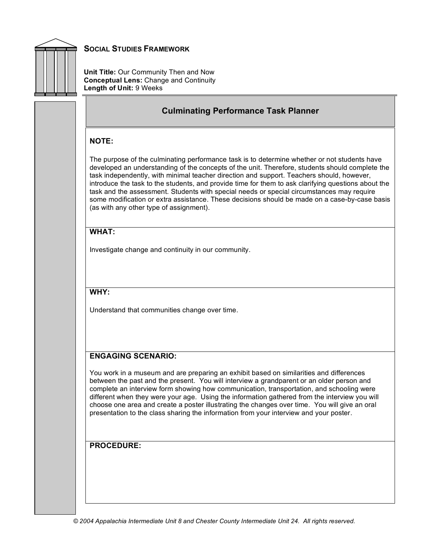

**Unit Title:** Our Community Then and Now **Conceptual Lens:** Change and Continuity **Length of Unit:** 9 Weeks

#### **Culminating Performance Task Planner**

#### **NOTE:**

The purpose of the culminating performance task is to determine whether or not students have developed an understanding of the concepts of the unit. Therefore, students should complete the task independently, with minimal teacher direction and support. Teachers should, however, introduce the task to the students, and provide time for them to ask clarifying questions about the task and the assessment. Students with special needs or special circumstances may require some modification or extra assistance. These decisions should be made on a case-by-case basis (as with any other type of assignment).

#### **WHAT:**

Investigate change and continuity in our community.

#### **WHY:**

Understand that communities change over time.

#### **ENGAGING SCENARIO:**

You work in a museum and are preparing an exhibit based on similarities and differences between the past and the present. You will interview a grandparent or an older person and complete an interview form showing how communication, transportation, and schooling were different when they were your age. Using the information gathered from the interview you will choose one area and create a poster illustrating the changes over time. You will give an oral presentation to the class sharing the information from your interview and your poster.

#### **PROCEDURE:**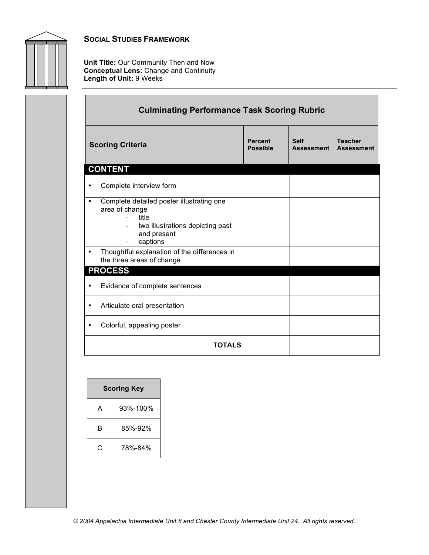

**Unit Title:** Our Community Then and Now **Conceptual Lens:** Change and Continuity **Length of Unit:** 9 Weeks

| <b>Culminating Performance Task Scoring Rubric</b>                                                                                       |                                   |                                  |                                     |  |
|------------------------------------------------------------------------------------------------------------------------------------------|-----------------------------------|----------------------------------|-------------------------------------|--|
| <b>Scoring Criteria</b>                                                                                                                  | <b>Percent</b><br><b>Possible</b> | <b>Self</b><br><b>Assessment</b> | <b>Teacher</b><br><b>Assessment</b> |  |
| <b>CONTENT</b>                                                                                                                           |                                   |                                  |                                     |  |
| Complete interview form<br>٠                                                                                                             |                                   |                                  |                                     |  |
| Complete detailed poster illustrating one<br>٠<br>area of change<br>title<br>two illustrations depicting past<br>and present<br>captions |                                   |                                  |                                     |  |
| Thoughtful explanation of the differences in<br>$\bullet$<br>the three areas of change                                                   |                                   |                                  |                                     |  |
| <b>PROCESS</b>                                                                                                                           |                                   |                                  |                                     |  |
| Evidence of complete sentences<br>$\bullet$                                                                                              |                                   |                                  |                                     |  |
| Articulate oral presentation                                                                                                             |                                   |                                  |                                     |  |
| Colorful, appealing poster                                                                                                               |                                   |                                  |                                     |  |
| <b>TOTALS</b>                                                                                                                            |                                   |                                  |                                     |  |

| <b>Scoring Key</b> |          |  |
|--------------------|----------|--|
| А                  | 93%-100% |  |
| R                  | 85%-92%  |  |
| C                  | 78%-84%  |  |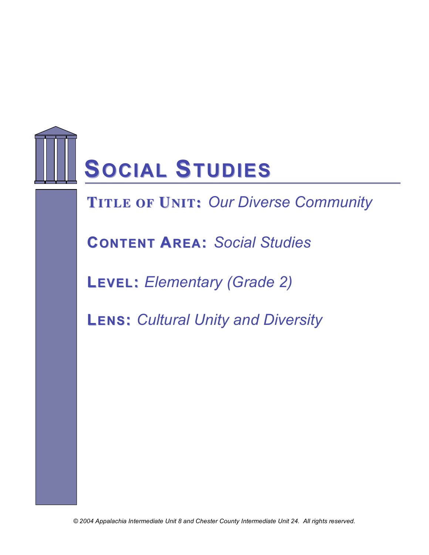

**FTIRTLAEMOFEUWNI OT:R***O***K***ur* **S***Diverse Community*

**CONTENT AREA:** *Social Studies*

**LEVEL:** *Elementary (Grade 2)*

**LENS:** *Cultural Unity and Diversity*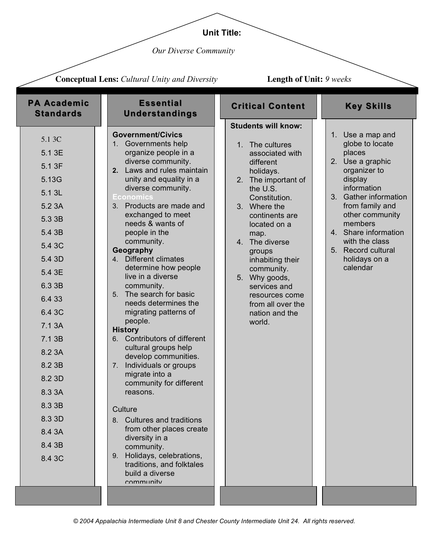## **Unit Title:**

*Our Diverse Community*

|                                                                                                                                                                                                                                                       | <b>Conceptual Lens:</b> Cultural Unity and Diversity                                                                                                                                                                                                                                                                                                                                                                                                                                                                                                                                                                                                                                                                                                                                                                                                                                                                                      | <b>Length of Unit: 9 weeks</b>                                                                                                                                                                                                                                                                                                                                             |                                                                                                                                                                                                                                                                                    |
|-------------------------------------------------------------------------------------------------------------------------------------------------------------------------------------------------------------------------------------------------------|-------------------------------------------------------------------------------------------------------------------------------------------------------------------------------------------------------------------------------------------------------------------------------------------------------------------------------------------------------------------------------------------------------------------------------------------------------------------------------------------------------------------------------------------------------------------------------------------------------------------------------------------------------------------------------------------------------------------------------------------------------------------------------------------------------------------------------------------------------------------------------------------------------------------------------------------|----------------------------------------------------------------------------------------------------------------------------------------------------------------------------------------------------------------------------------------------------------------------------------------------------------------------------------------------------------------------------|------------------------------------------------------------------------------------------------------------------------------------------------------------------------------------------------------------------------------------------------------------------------------------|
| <b>PA Academic</b><br><b>Standards</b>                                                                                                                                                                                                                | <b>Essential</b><br><b>Understandings</b>                                                                                                                                                                                                                                                                                                                                                                                                                                                                                                                                                                                                                                                                                                                                                                                                                                                                                                 | <b>Critical Content</b>                                                                                                                                                                                                                                                                                                                                                    | <b>Key Skills</b>                                                                                                                                                                                                                                                                  |
| 5.1 3C<br>5.1 3E<br>5.1 3F<br>5.13G<br>5.1 3L<br>5.2 3A<br>5.3 3B<br>5.4 3B<br>5.4 3C<br>5.4 3D<br>5.4 3E<br>6.3 3B<br>6.4 33<br>6.4 3C<br>7.1 3A<br>7.1 3B<br>8.2 3A<br>8.2 3B<br>8.2 3D<br>8.3 3A<br>8.3 3B<br>8.3 3D<br>8.4 3A<br>8.4 3B<br>8.4 3C | <b>Government/Civics</b><br>1. Governments help<br>organize people in a<br>diverse community.<br>2. Laws and rules maintain<br>unity and equality in a<br>diverse community.<br><b>Economics</b><br>Products are made and<br>3.<br>exchanged to meet<br>needs & wants of<br>people in the<br>community.<br>Geography<br>4. Different climates<br>determine how people<br>live in a diverse<br>community.<br>The search for basic<br>5 <sub>1</sub><br>needs determines the<br>migrating patterns of<br>people.<br><b>History</b><br>6. Contributors of different<br>cultural groups help<br>develop communities.<br>Individuals or groups<br>$7_{\scriptscriptstyle{\ddots}}$<br>migrate into a<br>community for different<br>reasons.<br>Culture<br>8. Cultures and traditions<br>from other places create<br>diversity in a<br>community.<br>Holidays, celebrations,<br>9.<br>traditions, and folktales<br>build a diverse<br>community | <b>Students will know:</b><br>1. The cultures<br>associated with<br>different<br>holidays.<br>2. The important of<br>the U.S.<br>Constitution.<br>3. Where the<br>continents are<br>located on a<br>map.<br>4. The diverse<br>groups<br>inhabiting their<br>community.<br>5. Why goods,<br>services and<br>resources come<br>from all over the<br>nation and the<br>world. | 1. Use a map and<br>globe to locate<br>places<br>2. Use a graphic<br>organizer to<br>display<br>information<br>3. Gather information<br>from family and<br>other community<br>members<br>4. Share information<br>with the class<br>5. Record cultural<br>holidays on a<br>calendar |
|                                                                                                                                                                                                                                                       |                                                                                                                                                                                                                                                                                                                                                                                                                                                                                                                                                                                                                                                                                                                                                                                                                                                                                                                                           |                                                                                                                                                                                                                                                                                                                                                                            |                                                                                                                                                                                                                                                                                    |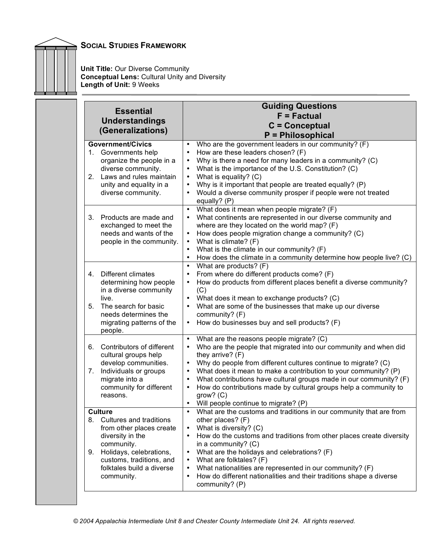**Unit Title:** Our Diverse Community **Conceptual Lens:** Cultural Unity and Diversity **Length of Unit:** 9 Weeks

|                                                                     | <b>Essential</b><br><b>Understandings</b><br>(Generalizations)                                                                                      | <b>Guiding Questions</b><br>$F = Factorual$<br>$C =$ Conceptual<br>P = Philosophical                                                                                                                                                                                                                                                                                                                                                                                                                            |
|---------------------------------------------------------------------|-----------------------------------------------------------------------------------------------------------------------------------------------------|-----------------------------------------------------------------------------------------------------------------------------------------------------------------------------------------------------------------------------------------------------------------------------------------------------------------------------------------------------------------------------------------------------------------------------------------------------------------------------------------------------------------|
| <b>Government/Civics</b><br>2.                                      | 1. Governments help<br>organize the people in a<br>diverse community.<br>Laws and rules maintain<br>unity and equality in a<br>diverse community.   | Who are the government leaders in our community? (F)<br>How are these leaders chosen? (F)<br>$\bullet$<br>Why is there a need for many leaders in a community? (C)<br>$\bullet$<br>What is the importance of the U.S. Constitution? (C)<br>What is equality? (C)<br>$\bullet$<br>Why is it important that people are treated equally? (P)<br>$\bullet$<br>Would a diverse community prosper if people were not treated<br>equally? (P)                                                                          |
| 3.                                                                  | Products are made and<br>exchanged to meet the<br>needs and wants of the<br>people in the community.                                                | What does it mean when people migrate? (F)<br>$\bullet$<br>What continents are represented in our diverse community and<br>where are they located on the world map? (F)<br>How does people migration change a community? (C)<br>What is climate? (F)<br>What is the climate in our community? (F)<br>How does the climate in a community determine how people live? (C)                                                                                                                                         |
| 4.<br>live.<br>5.<br>people.                                        | Different climates<br>determining how people<br>in a diverse community<br>The search for basic<br>needs determines the<br>migrating patterns of the | What are products? (F)<br>$\bullet$<br>From where do different products come? (F)<br>$\bullet$<br>How do products from different places benefit a diverse community?<br>(C)<br>What does it mean to exchange products? (C)<br>$\bullet$<br>What are some of the businesses that make up our diverse<br>$\bullet$<br>community? (F)<br>How do businesses buy and sell products? (F)<br>$\bullet$                                                                                                                 |
| 6.<br>7.<br>migrate into a<br>reasons.                              | Contributors of different<br>cultural groups help<br>develop communities.<br>Individuals or groups<br>community for different                       | What are the reasons people migrate? (C)<br>$\bullet$<br>Who are the people that migrated into our community and when did<br>they arrive? $(F)$<br>Why do people from different cultures continue to migrate? (C)<br>What does it mean to make a contribution to your community? (P)<br>What contributions have cultural groups made in our community? (F)<br>How do contributions made by cultural groups help a community to<br>$\bullet$<br>$grow?$ (C)<br>Will people continue to migrate? (P)<br>$\bullet$ |
| Culture<br>8.<br>diversity in the<br>community.<br>9.<br>community. | Cultures and traditions<br>from other places create<br>Holidays, celebrations,<br>customs, traditions, and<br>folktales build a diverse             | What are the customs and traditions in our community that are from<br>$\bullet$<br>other places? (F)<br>What is diversity? (C)<br>How do the customs and traditions from other places create diversity<br>$\bullet$<br>in a community? $(C)$<br>What are the holidays and celebrations? (F)<br>What are folktales? (F)<br>What nationalities are represented in our community? (F)<br>How do different nationalities and their traditions shape a diverse<br>$\bullet$<br>community? (P)                        |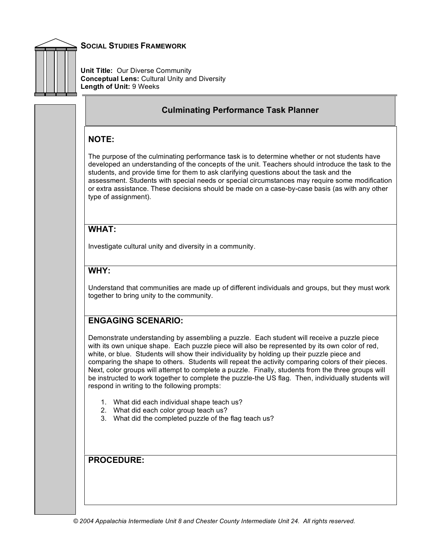

**Unit Title:** Our Diverse Community **Conceptual Lens:** Cultural Unity and Diversity **Length of Unit:** 9 Weeks

## **Culminating Performance Task Planner**

#### **NOTE:**

The purpose of the culminating performance task is to determine whether or not students have developed an understanding of the concepts of the unit. Teachers should introduce the task to the students, and provide time for them to ask clarifying questions about the task and the assessment. Students with special needs or special circumstances may require some modification or extra assistance. These decisions should be made on a case-by-case basis (as with any other type of assignment).

#### **WHAT:**

Investigate cultural unity and diversity in a community.

## **WHY:**

Understand that communities are made up of different individuals and groups, but they must work together to bring unity to the community.

# **ENGAGING SCENARIO:**

Demonstrate understanding by assembling a puzzle. Each student will receive a puzzle piece with its own unique shape. Each puzzle piece will also be represented by its own color of red, white, or blue. Students will show their individuality by holding up their puzzle piece and comparing the shape to others. Students will repeat the activity comparing colors of their pieces. Next, color groups will attempt to complete a puzzle. Finally, students from the three groups will be instructed to work together to complete the puzzle-the US flag. Then, individually students will respond in writing to the following prompts:

- 1. What did each individual shape teach us?
- 2. What did each color group teach us?
- 3. What did the completed puzzle of the flag teach us?

#### **PROCEDURE:**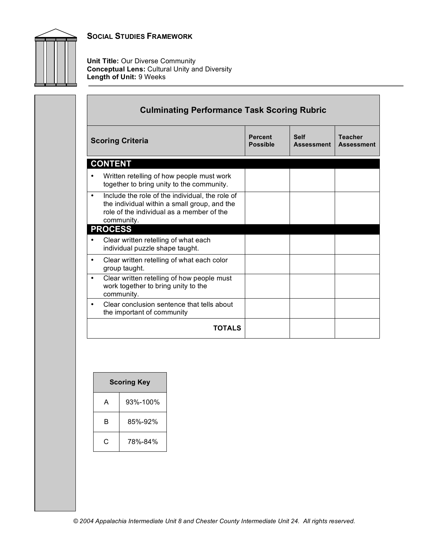

**Unit Title:** Our Diverse Community **Conceptual Lens:** Cultural Unity and Diversity **Length of Unit:** 9 Weeks

|           | <b>Scoring Criteria</b>                                                                                                                                    | <b>Percent</b>  | <b>Self</b>       | <b>Teacher</b>    |
|-----------|------------------------------------------------------------------------------------------------------------------------------------------------------------|-----------------|-------------------|-------------------|
|           |                                                                                                                                                            | <b>Possible</b> | <b>Assessment</b> | <b>Assessment</b> |
|           | <b>CONTENT</b>                                                                                                                                             |                 |                   |                   |
|           | Written retelling of how people must work<br>together to bring unity to the community.                                                                     |                 |                   |                   |
| $\bullet$ | Include the role of the individual, the role of<br>the individual within a small group, and the<br>role of the individual as a member of the<br>community. |                 |                   |                   |
|           | <b>PROCESS</b>                                                                                                                                             |                 |                   |                   |
|           | Clear written retelling of what each<br>individual puzzle shape taught.                                                                                    |                 |                   |                   |
| ٠         | Clear written retelling of what each color<br>group taught.                                                                                                |                 |                   |                   |
| $\bullet$ | Clear written retelling of how people must<br>work together to bring unity to the<br>community.                                                            |                 |                   |                   |
| $\bullet$ | Clear conclusion sentence that tells about<br>the important of community                                                                                   |                 |                   |                   |

| <b>Scoring Key</b> |          |  |
|--------------------|----------|--|
| A                  | 93%-100% |  |
| в                  | 85%-92%  |  |
| C                  | 78%-84%  |  |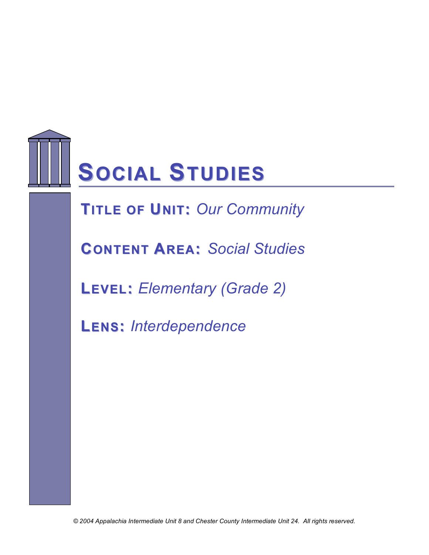

# **TITLE OF UNIT: Our Community**

**CONTENT AREA:** *Social Studies*

**LEVEL:** *Elementary (Grade 2)*

**LENS:** *Interdependence*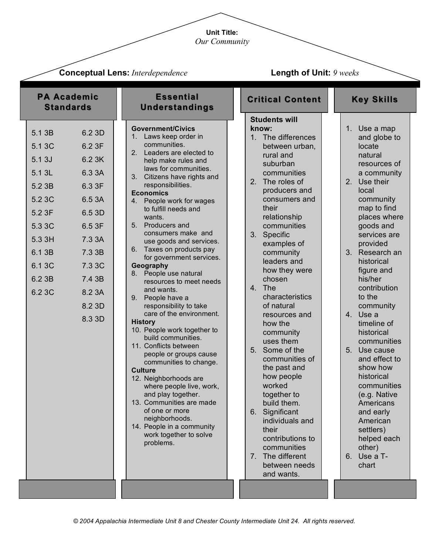**Unit Title:** *Our Community*

| <b>Conceptual Lens: Interdependence</b>                                                                                                                                                                                                                                            |                                                                                                                                                                                                                                                                                                                                                                                                                                                                                                                                                                                                                                                                                                                                                                                                                                                                                                                                                                                         | <b>Length of Unit: 9 weeks</b>                                                                                                                                                                                                                                                                                                                                                                                                                                                                                                                                                                                                                       |                                                                                                                                                                                                                                                                                                                                                                                                                                                                                                                                                            |  |
|------------------------------------------------------------------------------------------------------------------------------------------------------------------------------------------------------------------------------------------------------------------------------------|-----------------------------------------------------------------------------------------------------------------------------------------------------------------------------------------------------------------------------------------------------------------------------------------------------------------------------------------------------------------------------------------------------------------------------------------------------------------------------------------------------------------------------------------------------------------------------------------------------------------------------------------------------------------------------------------------------------------------------------------------------------------------------------------------------------------------------------------------------------------------------------------------------------------------------------------------------------------------------------------|------------------------------------------------------------------------------------------------------------------------------------------------------------------------------------------------------------------------------------------------------------------------------------------------------------------------------------------------------------------------------------------------------------------------------------------------------------------------------------------------------------------------------------------------------------------------------------------------------------------------------------------------------|------------------------------------------------------------------------------------------------------------------------------------------------------------------------------------------------------------------------------------------------------------------------------------------------------------------------------------------------------------------------------------------------------------------------------------------------------------------------------------------------------------------------------------------------------------|--|
| <b>PA Academic</b><br><b>Standards</b>                                                                                                                                                                                                                                             | <b>Essential</b><br><b>Understandings</b>                                                                                                                                                                                                                                                                                                                                                                                                                                                                                                                                                                                                                                                                                                                                                                                                                                                                                                                                               | <b>Critical Content</b>                                                                                                                                                                                                                                                                                                                                                                                                                                                                                                                                                                                                                              | <b>Key Skills</b>                                                                                                                                                                                                                                                                                                                                                                                                                                                                                                                                          |  |
| 5.1 3B<br>6.2 3D<br>5.1 3C<br>6.2 3F<br>5.13J<br>6.23K<br>5.1 3L<br>6.3 3A<br>5.2 3B<br>6.3 3F<br>5.2 3C<br>6.5 3A<br>5.2 3F<br>6.5 3D<br>5.3 3C<br>6.5 3F<br>5.3 3H<br>7.3 3A<br>6.1 3B<br>7.3 3B<br>6.1 3C<br>7.3 3C<br>6.2 3B<br>7.4 3B<br>6.2 3C<br>8.2 3A<br>8.2 3D<br>8.3 3D | <b>Government/Civics</b><br>1. Laws keep order in<br>communities.<br>Leaders are elected to<br>2 <sup>1</sup><br>help make rules and<br>laws for communities.<br>3.<br>Citizens have rights and<br>responsibilities.<br><b>Economics</b><br>People work for wages<br>4.<br>to fulfill needs and<br>wants.<br>5. Producers and<br>consumers make and<br>use goods and services.<br>6. Taxes on products pay<br>for government services.<br>Geography<br>People use natural<br>8.<br>resources to meet needs<br>and wants.<br>9. People have a<br>responsibility to take<br>care of the environment.<br><b>History</b><br>10. People work together to<br>build communities.<br>11. Conflicts between<br>people or groups cause<br>communities to change.<br><b>Culture</b><br>12. Neighborhoods are<br>where people live, work,<br>and play together.<br>13. Communities are made<br>of one or more<br>neighborhoods.<br>14. People in a community<br>work together to solve<br>problems. | <b>Students will</b><br>know:<br>1. The differences<br>between urban,<br>rural and<br>suburban<br>communities<br>The roles of<br>2.<br>producers and<br>consumers and<br>their<br>relationship<br>communities<br>3. Specific<br>examples of<br>community<br>leaders and<br>how they were<br>chosen<br>4. The<br>characteristics<br>of natural<br>resources and<br>how the<br>community<br>uses them<br>Some of the<br>5.<br>communities of<br>the past and<br>how people<br>worked<br>together to<br>build them.<br>6. Significant<br>individuals and<br>their<br>contributions to<br>communities<br>7. The different<br>between needs<br>and wants. | 1. Use a map<br>and globe to<br>locate<br>natural<br>resources of<br>a community<br>2.<br>Use their<br>local<br>community<br>map to find<br>places where<br>goods and<br>services are<br>provided<br>3. Research an<br>historical<br>figure and<br>his/her<br>contribution<br>to the<br>community<br>4. Use a<br>timeline of<br>historical<br>communities<br>5.<br>Use cause<br>and effect to<br>show how<br>historical<br>communities<br>(e.g. Native<br>Americans<br>and early<br>American<br>settlers)<br>helped each<br>other)<br>6. Use a T-<br>chart |  |
|                                                                                                                                                                                                                                                                                    |                                                                                                                                                                                                                                                                                                                                                                                                                                                                                                                                                                                                                                                                                                                                                                                                                                                                                                                                                                                         |                                                                                                                                                                                                                                                                                                                                                                                                                                                                                                                                                                                                                                                      |                                                                                                                                                                                                                                                                                                                                                                                                                                                                                                                                                            |  |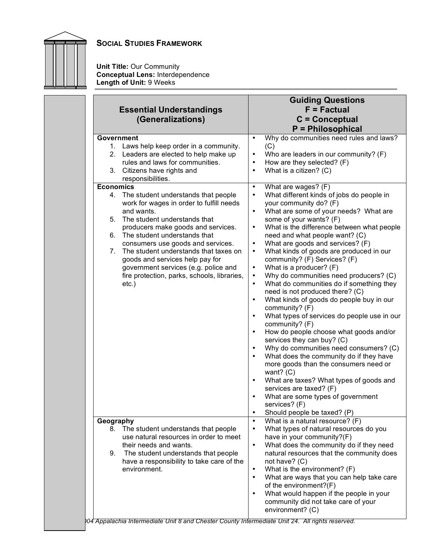

**Unit Title:** Our Community **Conceptual Lens:** Interdependence **Length of Unit:** 9 Weeks

|                                                                                                                                                                                                                                                                                                                                                                                                                                                                                                                                                                                                                                                            | <b>Guiding Questions</b>                                                                                                                                                                                                                                                                                                                                                                                                                                                                                                                                                                                                                                                                                                                                                                                                                                                                                                                                                                                                           |  |
|------------------------------------------------------------------------------------------------------------------------------------------------------------------------------------------------------------------------------------------------------------------------------------------------------------------------------------------------------------------------------------------------------------------------------------------------------------------------------------------------------------------------------------------------------------------------------------------------------------------------------------------------------------|------------------------------------------------------------------------------------------------------------------------------------------------------------------------------------------------------------------------------------------------------------------------------------------------------------------------------------------------------------------------------------------------------------------------------------------------------------------------------------------------------------------------------------------------------------------------------------------------------------------------------------------------------------------------------------------------------------------------------------------------------------------------------------------------------------------------------------------------------------------------------------------------------------------------------------------------------------------------------------------------------------------------------------|--|
| <b>Essential Understandings</b>                                                                                                                                                                                                                                                                                                                                                                                                                                                                                                                                                                                                                            | $F = Factorual$                                                                                                                                                                                                                                                                                                                                                                                                                                                                                                                                                                                                                                                                                                                                                                                                                                                                                                                                                                                                                    |  |
| (Generalizations)                                                                                                                                                                                                                                                                                                                                                                                                                                                                                                                                                                                                                                          | $C =$ Conceptual                                                                                                                                                                                                                                                                                                                                                                                                                                                                                                                                                                                                                                                                                                                                                                                                                                                                                                                                                                                                                   |  |
|                                                                                                                                                                                                                                                                                                                                                                                                                                                                                                                                                                                                                                                            |                                                                                                                                                                                                                                                                                                                                                                                                                                                                                                                                                                                                                                                                                                                                                                                                                                                                                                                                                                                                                                    |  |
| Government<br>1. Laws help keep order in a community.<br>2. Leaders are elected to help make up<br>rules and laws for communities.<br>3. Citizens have rights and<br>responsibilities.<br><b>Economics</b><br>4. The student understands that people<br>work for wages in order to fulfill needs<br>and wants.<br>The student understands that<br>5.<br>producers make goods and services.<br>The student understands that<br>6.<br>consumers use goods and services.<br>7.<br>The student understands that taxes on<br>goods and services help pay for<br>government services (e.g. police and<br>fire protection, parks, schools, libraries,<br>$etc.$ ) | <b>P</b> = Philosophical<br>Why do communities need rules and laws?<br>$\bullet$<br>(C)<br>Who are leaders in our community? (F)<br>٠<br>How are they selected? (F)<br>٠<br>What is a citizen? (C)<br>What are wages? (F)<br>$\bullet$<br>What different kinds of jobs do people in<br>٠<br>your community do? (F)<br>What are some of your needs? What are<br>$\bullet$<br>some of your wants? (F)<br>What is the difference between what people<br>٠<br>need and what people want? (C)<br>What are goods and services? (F)<br>$\bullet$<br>What kinds of goods are produced in our<br>٠<br>community? (F) Services? (F)<br>What is a producer? (F)<br>٠<br>Why do communities need producers? (C)<br>٠<br>What do communities do if something they<br>$\bullet$<br>need is not produced there? (C)<br>What kinds of goods do people buy in our<br>٠<br>community? (F)<br>What types of services do people use in our<br>٠<br>community? (F)<br>How do people choose what goods and/or<br>$\bullet$<br>services they can buy? (C) |  |
| Geography<br>The student understands that people<br>8.<br>use natural resources in order to meet<br>their needs and wants.<br>The student understands that people<br>9.<br>have a responsibility to take care of the<br>environment.                                                                                                                                                                                                                                                                                                                                                                                                                       | Why do communities need consumers? (C)<br>٠<br>What does the community do if they have<br>٠<br>more goods than the consumers need or<br>want? $(C)$<br>What are taxes? What types of goods and<br>$\bullet$<br>services are taxed? (F)<br>What are some types of government<br>٠<br>services? (F)<br>Should people be taxed? (P)<br>$\bullet$<br>What is a natural resource? (F)<br>$\bullet$<br>What types of natural resources do you<br>٠<br>have in your community?(F)<br>What does the community do if they need<br>٠<br>natural resources that the community does<br>not have? (C)<br>What is the environment? (F)<br>٠<br>What are ways that you can help take care<br>$\bullet$<br>of the environment?(F)<br>What would happen if the people in your<br>٠<br>community did not take care of your<br>environment? (C)                                                                                                                                                                                                       |  |

*© 2004 Appalachia Intermediate Unit 8 and Chester County Intermediate Unit 24. All rights reserved.*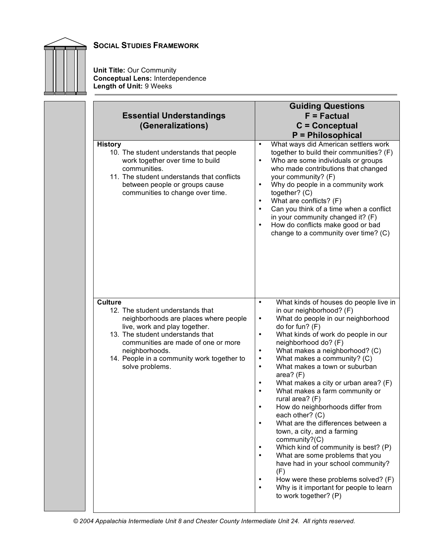

**Unit Title:** Our Community **Conceptual Lens:** Interdependence **Length of Unit:** 9 Weeks

| <b>Essential Understandings</b><br>(Generalizations)                                                                                                                                                                                                                                       | <b>Guiding Questions</b><br>$F = Factorual$<br>$C =$ Conceptual<br>P = Philosophical                                                                                                                                                                                                                                                                                                                                                                                                                                                                                                                                                                                                                                                                                                                                                                                                                                                                                |
|--------------------------------------------------------------------------------------------------------------------------------------------------------------------------------------------------------------------------------------------------------------------------------------------|---------------------------------------------------------------------------------------------------------------------------------------------------------------------------------------------------------------------------------------------------------------------------------------------------------------------------------------------------------------------------------------------------------------------------------------------------------------------------------------------------------------------------------------------------------------------------------------------------------------------------------------------------------------------------------------------------------------------------------------------------------------------------------------------------------------------------------------------------------------------------------------------------------------------------------------------------------------------|
| <b>History</b><br>10. The student understands that people<br>work together over time to build<br>communities.<br>11. The student understands that conflicts<br>between people or groups cause<br>communities to change over time.                                                          | What ways did American settlers work<br>$\bullet$<br>together to build their communities? (F)<br>Who are some individuals or groups<br>$\bullet$<br>who made contributions that changed<br>your community? (F)<br>Why do people in a community work<br>$\bullet$<br>together? (C)<br>What are conflicts? (F)<br>$\bullet$<br>Can you think of a time when a conflict<br>$\bullet$<br>in your community changed it? (F)<br>How do conflicts make good or bad<br>$\bullet$<br>change to a community over time? (C)                                                                                                                                                                                                                                                                                                                                                                                                                                                    |
| <b>Culture</b><br>12. The student understands that<br>neighborhoods are places where people<br>live, work and play together.<br>13. The student understands that<br>communities are made of one or more<br>neighborhoods.<br>14. People in a community work together to<br>solve problems. | What kinds of houses do people live in<br>$\bullet$<br>in our neighborhood? (F)<br>What do people in our neighborhood<br>$\bullet$<br>do for fun? (F)<br>What kinds of work do people in our<br>$\bullet$<br>neighborhood do? (F)<br>What makes a neighborhood? (C)<br>$\bullet$<br>What makes a community? (C)<br>$\bullet$<br>What makes a town or suburban<br>$\bullet$<br>area? $(F)$<br>What makes a city or urban area? (F)<br>$\bullet$<br>What makes a farm community or<br>$\bullet$<br>rural area? (F)<br>How do neighborhoods differ from<br>$\bullet$<br>each other? $(C)$<br>What are the differences between a<br>$\bullet$<br>town, a city, and a farming<br>community?(C)<br>Which kind of community is best? (P)<br>What are some problems that you<br>$\bullet$<br>have had in your school community?<br>(F)<br>How were these problems solved? (F)<br>$\bullet$<br>Why is it important for people to learn<br>$\bullet$<br>to work together? (P) |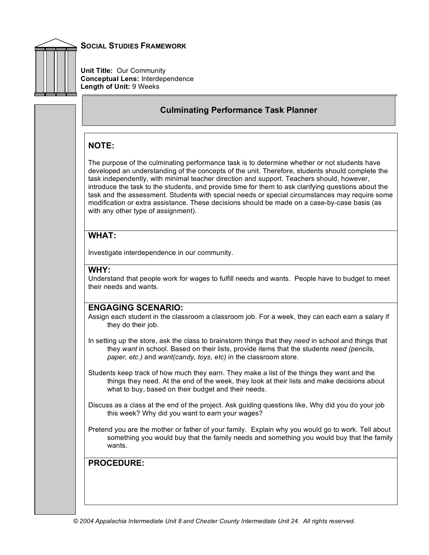

**Unit Title:** Our Community **Conceptual Lens:** Interdependence **Length of Unit:** 9 Weeks

## **Culminating Performance Task Planner**

## **NOTE:**

The purpose of the culminating performance task is to determine whether or not students have developed an understanding of the concepts of the unit. Therefore, students should complete the task independently, with minimal teacher direction and support. Teachers should, however, introduce the task to the students, and provide time for them to ask clarifying questions about the task and the assessment. Students with special needs or special circumstances may require some modification or extra assistance. These decisions should be made on a case-by-case basis (as with any other type of assignment).

## **WHAT:**

Investigate interdependence in our community.

#### **WHY:**

Understand that people work for wages to fulfill needs and wants. People have to budget to meet their needs and wants.

## **ENGAGING SCENARIO:**

Assign each student in the classroom a classroom job. For a week, they can each earn a salary if they do their job.

- In setting up the store, ask the class to brainstorm things that they *need* in school and things that they *want* in school. Based on their lists, provide items that the students *need (pencils, paper, etc.)* and *want(candy, toys, etc)* in the classroom store.
- Students keep track of how much they earn. They make a list of the things they want and the things they need. At the end of the week, they look at their lists and make decisions about what to buy, based on their budget and their needs.
- Discuss as a class at the end of the project. Ask guiding questions like, Why did you do your job this week? Why did you want to earn your wages?

Pretend you are the mother or father of your family. Explain why you would go to work. Tell about something you would buy that the family needs and something you would buy that the family wants.

**PROCEDURE:**